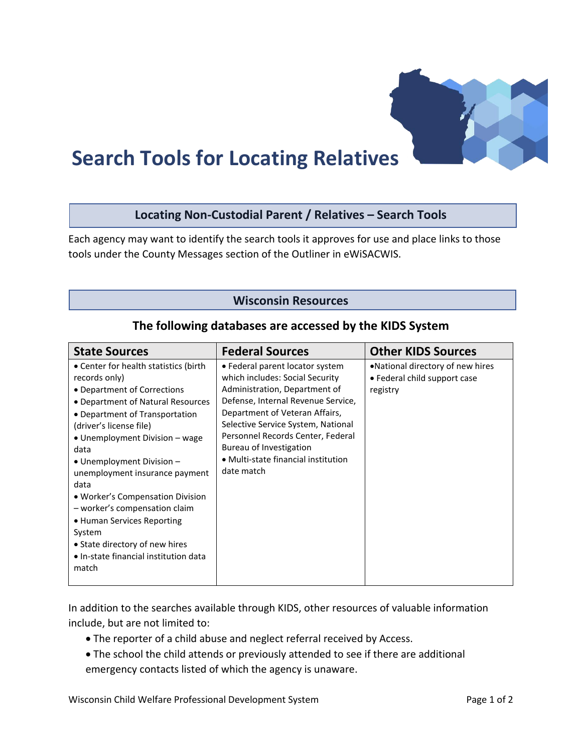

# **Search Tools for Locating Relatives**

## **Locating Non-Custodial Parent / Relatives – Search Tools**

Each agency may want to identify the search tools it approves for use and place links to those tools under the County Messages section of the Outliner in eWiSACWIS.

### **Wisconsin Resources**

| <b>State Sources</b>                                                                                                                                                                                                                                                                                                                                                                                                                                                                                                | <b>Federal Sources</b>                                                                                                                                                                                                                                                                                                                 | <b>Other KIDS Sources</b>                                                    |
|---------------------------------------------------------------------------------------------------------------------------------------------------------------------------------------------------------------------------------------------------------------------------------------------------------------------------------------------------------------------------------------------------------------------------------------------------------------------------------------------------------------------|----------------------------------------------------------------------------------------------------------------------------------------------------------------------------------------------------------------------------------------------------------------------------------------------------------------------------------------|------------------------------------------------------------------------------|
| • Center for health statistics (birth<br>records only)<br>• Department of Corrections<br>• Department of Natural Resources<br>• Department of Transportation<br>(driver's license file)<br>• Unemployment Division - wage<br>data<br>$\bullet$ Unemployment Division $-$<br>unemployment insurance payment<br>data<br>• Worker's Compensation Division<br>- worker's compensation claim<br>• Human Services Reporting<br>System<br>• State directory of new hires<br>• In-state financial institution data<br>match | • Federal parent locator system<br>which includes: Social Security<br>Administration, Department of<br>Defense, Internal Revenue Service,<br>Department of Veteran Affairs,<br>Selective Service System, National<br>Personnel Records Center, Federal<br>Bureau of Investigation<br>• Multi-state financial institution<br>date match | .National directory of new hires<br>• Federal child support case<br>registry |

#### **The following databases are accessed by the KIDS System**

In addition to the searches available through KIDS, other resources of valuable information include, but are not limited to:

- The reporter of a child abuse and neglect referral received by Access.
- The school the child attends or previously attended to see if there are additional emergency contacts listed of which the agency is unaware.